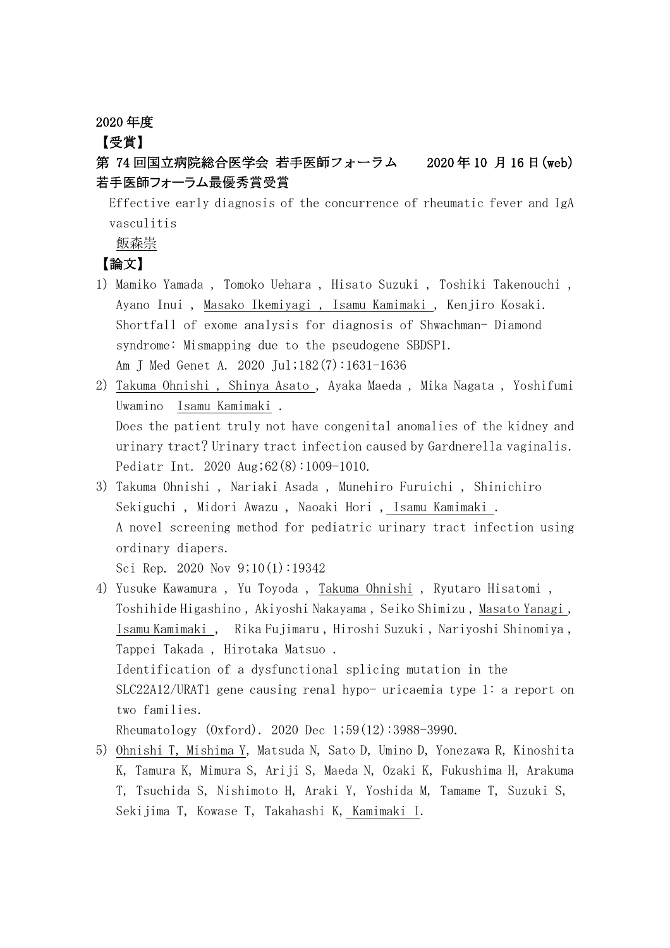2020 年度

## 【受賞】

# 第 74 回国立病院総合医学会 若手医師フォーラム 2020 年 10 月 16 日(web) 若手医師フォーラム最優秀賞受賞

Effective early diagnosis of the concurrence of rheumatic fever and IgA vasculitis

飯森崇

## 【論文】

- 1) Mamiko Yamada , Tomoko Uehara , Hisato Suzuki , Toshiki Takenouchi , Ayano Inui , Masako Ikemiyagi , Isamu Kamimaki , Kenjiro Kosaki. Shortfall of exome analysis for diagnosis of Shwachman- Diamond syndrome: Mismapping due to the pseudogene SBDSP1. Am J Med Genet A. 2020 Jul;182(7):1631-1636
- 2) Takuma Ohnishi , Shinya Asato , Ayaka Maeda , Mika Nagata , Yoshifumi Uwamino Isamu Kamimaki . Does the patient truly not have congenital anomalies of the kidney and urinary tract? Urinary tract infection caused by Gardnerella vaginalis. Pediatr Int. 2020 Aug;62(8):1009-1010.
- 3) Takuma Ohnishi , Nariaki Asada , Munehiro Furuichi , Shinichiro Sekiguchi , Midori Awazu , Naoaki Hori , Isamu Kamimaki . A novel screening method for pediatric urinary tract infection using ordinary diapers. Sci Rep. 2020 Nov 9;10(1):19342
- 4) Yusuke Kawamura , Yu Toyoda , Takuma Ohnishi , Ryutaro Hisatomi , Toshihide Higashino , Akiyoshi Nakayama , Seiko Shimizu , Masato Yanagi , Isamu Kamimaki , Rika Fujimaru , Hiroshi Suzuki , Nariyoshi Shinomiya , Tappei Takada , Hirotaka Matsuo . Identification of a dysfunctional splicing mutation in the SLC22A12/URAT1 gene causing renal hypo- uricaemia type 1: a report on two families.

Rheumatology (Oxford). 2020 Dec 1;59(12):3988-3990.

5) Ohnishi T, Mishima Y, Matsuda N, Sato D, Umino D, Yonezawa R, Kinoshita K, Tamura K, Mimura S, Ariji S, Maeda N, Ozaki K, Fukushima H, Arakuma T, Tsuchida S, Nishimoto H, Araki Y, Yoshida M, Tamame T, Suzuki S, Sekijima T, Kowase T, Takahashi K, Kamimaki I.